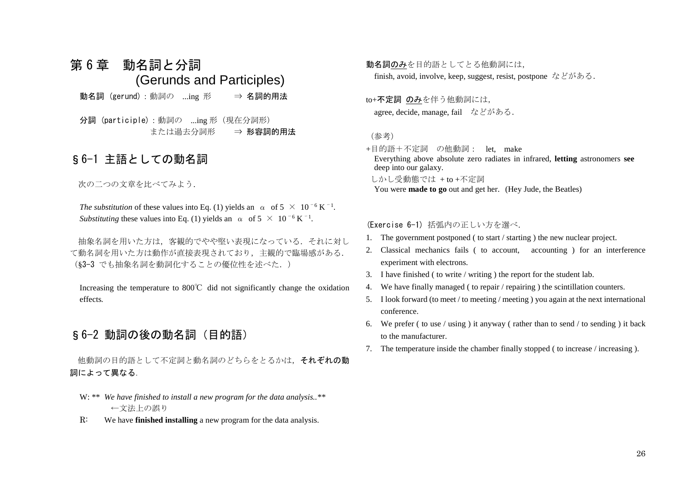# 第6章 動名詞と分詞 (Gerunds and Participles)

動名詞 (gerund):動詞の ...ing 形 ⇒ 名詞的用法

分詞 (participle):動詞の ...ing 形(現在分詞形) または過去分詞形 ⇒ 形容詞的用法

## §6-1 主語としての動名詞

次の二つの文章を比べてみよう.

*The substitution* of these values into Eq. (1) yields an  $\alpha$  of  $5 \times 10^{-6}$  K<sup>-1</sup>. *Substituting* these values into Eq. (1) yields an  $\alpha$  of  $5 \times 10^{-6}$  K<sup>-1</sup>.

抽象名詞を用いた方は,客観的でやや堅い表現になっている.それに対し て動名詞を用いた方は動作が直接表現されており,主観的で臨場感がある. (§3-3 でも抽象名詞を動詞化することの優位性を述べた.)

Increasing the temperature to 800℃ did not significantly change the oxidation effects*.*

## §6-2 動詞の後の動名詞(目的語)

他動詞の目的語として不定詞と動名詞のどちらをとるかは, それぞれの動 詞によって異なる.

- W: \*\* *We have finished to install a new program for the data analysis..\*\** ←文法上の誤り
- R: We have **finished installing** a new program for the data analysis.

動名詞のみを目的語としてとる他動詞には, finish, avoid, involve, keep, suggest, resist, postpone などがある.

to+不定詞 のみを伴う他動詞には, agree, decide, manage, fail などがある.

#### (参考)

+目的語+不定詞 の他動詞: let, make Everything above absolute zero radiates in infrared, **letting** astronomers **see** deep into our galaxy. しかし受動態では + to +不定詞 You were **made to go** out and get her. (Hey Jude, the Beatles)

#### (Exercise 6-1) 括弧内の正しい方を選べ.

- 1. The government postponed ( to start / starting ) the new nuclear project.
- 2. Classical mechanics fails ( to account, accounting ) for an interference experiment with electrons.
- 3. I have finished ( to write / writing ) the report for the student lab.
- 4. We have finally managed ( to repair / repairing ) the scintillation counters.
- 5. I look forward (to meet / to meeting / meeting ) you again at the next international conference.
- 6. We prefer ( to use / using ) it anyway ( rather than to send / to sending ) it back to the manufacturer.
- 7. The temperature inside the chamber finally stopped ( to increase / increasing ).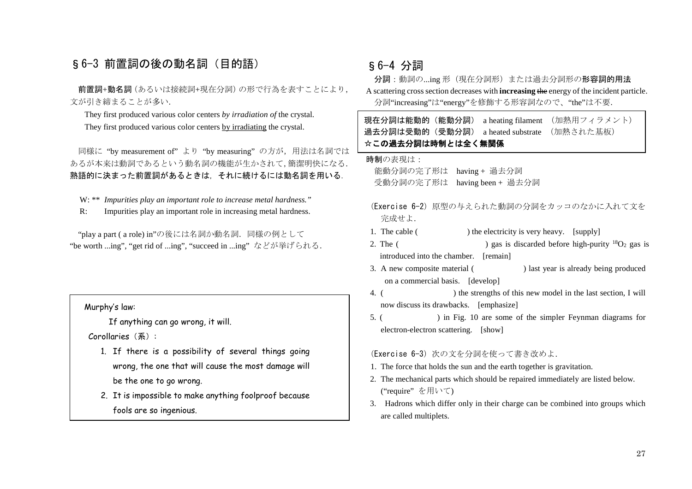### §6-3 前置詞の後の動名詞 (目的語)

前置詞+動名詞(あるいは接続詞+現在分詞)の形で行為を表すことにより, 文が引き締まることが多い.

They first produced various color centers *by irradiation of* the crystal. They first produced various color centers by irradiating the crystal.

同様に "by measurement of" より "by measuring" の方が、用法は名詞では あるが本来は動詞であるという動名詞の機能が生かされて,簡潔明快になる. 熟語的に決まった前置詞があるときは,それに続けるには動名詞を用いる.

W: \*\* *Impurities play an important role to increase metal hardness."*

R: Impurities play an important role in increasing metal hardness.

"play a part ( a role) in"の後には名詞か動名詞.同様の例として "be worth ...ing", "get rid of ...ing", "succeed in ...ing" などが挙げられる.

Murphy's law:

If anything can go wrong, it will.

Corollaries(系):

- 1. If there is a possibility of several things going wrong, the one that will cause the most damage will be the one to go wrong.
- 2. It is impossible to make anything foolproof because fools are so ingenious.

### §6-4 分詞

分詞:動詞の...ing 形(現在分詞形)または過去分詞形の形容詞的用法 A scattering cross section decreases with **increasing** the energy of the incident particle. 分詞"increasing"は"energy"を修飾する形容詞なので、"the"は不要.

現在分詞は能動的(能動分詞) a heating filament (加熱用フィラメント) 過去分詞は受動的(受動分詞) a heated substrate (加熱された基板) ☆この過去分詞は時制とは全く無関係

#### 時制の表現は:

能動分詞の完了形は having + 過去分詞 受動分詞の完了形は having been + 過去分詞

- (Exercise 6-2)原型の与えられた動詞の分詞をカッコのなかに入れて文を 完成せよ.
- 1. The cable ( ) the electricity is very heavy. [supply]
- 2. The ( ) gas is discarded before high-purity  $^{18}O_2$  gas is introduced into the chamber. [remain]
- 3. A new composite material ( ) last year is already being produced on a commercial basis. [develop]
- 4. ( ) the strengths of this new model in the last section, I will now discuss its drawbacks. [emphasize]
- 5. ( ) in Fig. 10 are some of the simpler Feynman diagrams for electron-electron scattering. [show]

#### (Exercise 6-3) 次の文を分詞を使って書き改めよ.

- 1. The force that holds the sun and the earth together is gravitation.
- 2. The mechanical parts which should be repaired immediately are listed below. ("require" を用いて)
- 3. Hadrons which differ only in their charge can be combined into groups which are called multiplets.